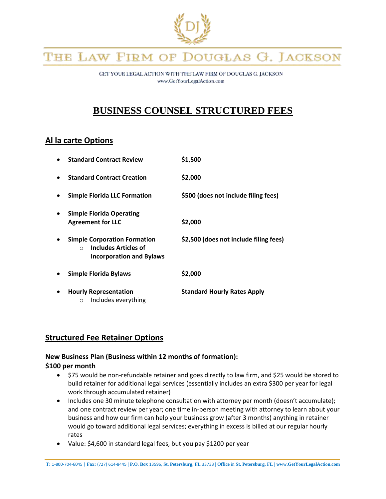

# THE LAW FIRM OF DOUGLAS G. JACKSON

GET YOUR LEGAL ACTION WITH THE LAW FIRM OF DOUGLAS G. JACKSON www.GetYourLegalAction.com

# **BUSINESS COUNSEL STRUCTURED FEES**

### **Al la carte Options**

|           | <b>Standard Contract Review</b>                                                                                    | \$1,500                                |
|-----------|--------------------------------------------------------------------------------------------------------------------|----------------------------------------|
| $\bullet$ | <b>Standard Contract Creation</b>                                                                                  | \$2,000                                |
| ٠         | <b>Simple Florida LLC Formation</b>                                                                                | \$500 (does not include filing fees)   |
| $\bullet$ | <b>Simple Florida Operating</b><br><b>Agreement for LLC</b>                                                        | \$2,000                                |
| $\bullet$ | <b>Simple Corporation Formation</b><br><b>Includes Articles of</b><br>$\bigcap$<br><b>Incorporation and Bylaws</b> | \$2,500 (does not include filing fees) |
| $\bullet$ | <b>Simple Florida Bylaws</b>                                                                                       | \$2,000                                |
| $\bullet$ | <b>Hourly Representation</b><br>Includes everything<br>O                                                           | <b>Standard Hourly Rates Apply</b>     |

### **Structured Fee Retainer Options**

# **New Business Plan (Business within 12 months of formation):**

#### **\$100 per month**

- \$75 would be non-refundable retainer and goes directly to law firm, and \$25 would be stored to build retainer for additional legal services (essentially includes an extra \$300 per year for legal work through accumulated retainer)
- Includes one 30 minute telephone consultation with attorney per month (doesn't accumulate); and one contract review per year; one time in-person meeting with attorney to learn about your business and how our firm can help your business grow (after 3 months) anything in retainer would go toward additional legal services; everything in excess is billed at our regular hourly rates
- Value: \$4,600 in standard legal fees, but you pay \$1200 per year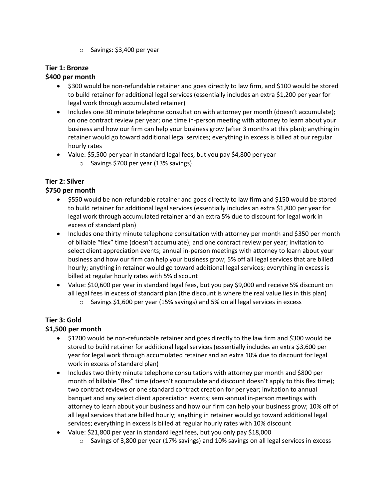o Savings: \$3,400 per year

#### **Tier 1: Bronze**

#### **\$400 per month**

- \$300 would be non-refundable retainer and goes directly to law firm, and \$100 would be stored to build retainer for additional legal services (essentially includes an extra \$1,200 per year for legal work through accumulated retainer)
- Includes one 30 minute telephone consultation with attorney per month (doesn't accumulate); on one contract review per year; one time in-person meeting with attorney to learn about your business and how our firm can help your business grow (after 3 months at this plan); anything in retainer would go toward additional legal services; everything in excess is billed at our regular hourly rates
- Value: \$5,500 per year in standard legal fees, but you pay \$4,800 per year
	- o Savings \$700 per year (13% savings)

## **Tier 2: Silver**

#### **\$750 per month**

- \$550 would be non-refundable retainer and goes directly to law firm and \$150 would be stored to build retainer for additional legal services (essentially includes an extra \$1,800 per year for legal work through accumulated retainer and an extra 5% due to discount for legal work in excess of standard plan)
- Includes one thirty minute telephone consultation with attorney per month and \$350 per month of billable "flex" time (doesn't accumulate); and one contract review per year; invitation to select client appreciation events; annual in-person meetings with attorney to learn about your business and how our firm can help your business grow; 5% off all legal services that are billed hourly; anything in retainer would go toward additional legal services; everything in excess is billed at regular hourly rates with 5% discount
- Value: \$10,600 per year in standard legal fees, but you pay \$9,000 and receive 5% discount on all legal fees in excess of standard plan (the discount is where the real value lies in this plan)
	- o Savings \$1,600 per year (15% savings) and 5% on all legal services in excess

#### **Tier 3: Gold**

#### **\$1,500 per month**

- \$1200 would be non-refundable retainer and goes directly to the law firm and \$300 would be stored to build retainer for additional legal services (essentially includes an extra \$3,600 per year for legal work through accumulated retainer and an extra 10% due to discount for legal work in excess of standard plan)
- Includes two thirty minute telephone consultations with attorney per month and \$800 per month of billable "flex" time (doesn't accumulate and discount doesn't apply to this flex time); two contract reviews or one standard contract creation for per year; invitation to annual banquet and any select client appreciation events; semi-annual in-person meetings with attorney to learn about your business and how our firm can help your business grow; 10% off of all legal services that are billed hourly; anything in retainer would go toward additional legal services; everything in excess is billed at regular hourly rates with 10% discount
- Value: \$21,800 per year in standard legal fees, but you only pay \$18,000
	- o Savings of 3,800 per year (17% savings) and 10% savings on all legal services in excess